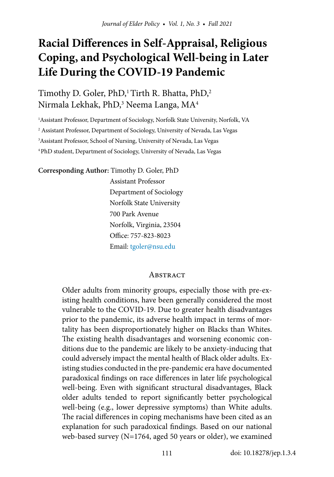Timothy D. Goler, PhD,<sup>1</sup> Tirth R. Bhatta, PhD,<sup>2</sup> Nirmala Lekhak, PhD, $^3$  Neema Langa, MA $^4$ 

<sup>1</sup> Assistant Professor, Department of Sociology, Norfolk State University, Norfolk, VA

2 Assistant Professor, Department of Sociology, University of Nevada, Las Vegas

3 Assistant Professor, School of Nursing, University of Nevada, Las Vegas

4 PhD student, Department of Sociology, University of Nevada, Las Vegas

**Corresponding Author:** Timothy D. Goler, PhD

 Assistant Professor Department of Sociology Norfolk State University 700 Park Avenue Norfolk, Virginia, 23504 Office: 757-823-8023 Email: [tgoler@nsu.edu](mailto:tgoler@nsu.edu) 

#### **ABSTRACT**

Older adults from minority groups, especially those with pre-existing health conditions, have been generally considered the most vulnerable to the COVID-19. Due to greater health disadvantages prior to the pandemic, its adverse health impact in terms of mortality has been disproportionately higher on Blacks than Whites. The existing health disadvantages and worsening economic conditions due to the pandemic are likely to be anxiety-inducing that could adversely impact the mental health of Black older adults. Existing studies conducted in the pre-pandemic era have documented paradoxical findings on race differences in later life psychological well-being. Even with significant structural disadvantages, Black older adults tended to report significantly better psychological well-being (e.g., lower depressive symptoms) than White adults. The racial differences in coping mechanisms have been cited as an explanation for such paradoxical findings. Based on our national web-based survey (N=1764, aged 50 years or older), we examined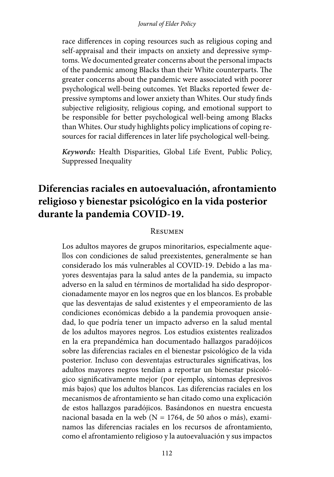#### *Journal of Elder Policy*

race differences in coping resources such as religious coping and self-appraisal and their impacts on anxiety and depressive symptoms. We documented greater concerns about the personal impacts of the pandemic among Blacks than their White counterparts. The greater concerns about the pandemic were associated with poorer psychological well-being outcomes. Yet Blacks reported fewer depressive symptoms and lower anxiety than Whites. Our study finds subjective religiosity, religious coping, and emotional support to be responsible for better psychological well-being among Blacks than Whites. Our study highlights policy implications of coping resources for racial differences in later life psychological well-being.

*Keywords:* Health Disparities, Global Life Event, Public Policy, Suppressed Inequality

# **Diferencias raciales en autoevaluación, afrontamiento religioso y bienestar psicológico en la vida posterior durante la pandemia COVID-19.**

#### Resumen

Los adultos mayores de grupos minoritarios, especialmente aquellos con condiciones de salud preexistentes, generalmente se han considerado los más vulnerables al COVID-19. Debido a las mayores desventajas para la salud antes de la pandemia, su impacto adverso en la salud en términos de mortalidad ha sido desproporcionadamente mayor en los negros que en los blancos. Es probable que las desventajas de salud existentes y el empeoramiento de las condiciones económicas debido a la pandemia provoquen ansiedad, lo que podría tener un impacto adverso en la salud mental de los adultos mayores negros. Los estudios existentes realizados en la era prepandémica han documentado hallazgos paradójicos sobre las diferencias raciales en el bienestar psicológico de la vida posterior. Incluso con desventajas estructurales significativas, los adultos mayores negros tendían a reportar un bienestar psicológico significativamente mejor (por ejemplo, síntomas depresivos más bajos) que los adultos blancos. Las diferencias raciales en los mecanismos de afrontamiento se han citado como una explicación de estos hallazgos paradójicos. Basándonos en nuestra encuesta nacional basada en la web (N = 1764, de 50 años o más), examinamos las diferencias raciales en los recursos de afrontamiento, como el afrontamiento religioso y la autoevaluación y sus impactos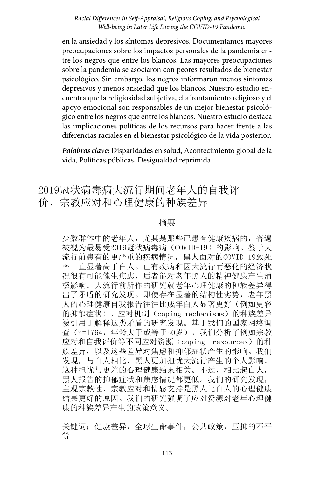en la ansiedad y los síntomas depresivos. Documentamos mayores preocupaciones sobre los impactos personales de la pandemia entre los negros que entre los blancos. Las mayores preocupaciones sobre la pandemia se asociaron con peores resultados de bienestar psicológico. Sin embargo, los negros informaron menos síntomas depresivos y menos ansiedad que los blancos. Nuestro estudio encuentra que la religiosidad subjetiva, el afrontamiento religioso y el apoyo emocional son responsables de un mejor bienestar psicológico entre los negros que entre los blancos. Nuestro estudio destaca las implicaciones políticas de los recursos para hacer frente a las diferencias raciales en el bienestar psicológico de la vida posterior.

*Palabras clave:* Disparidades en salud, Acontecimiento global de la vida, Políticas públicas, Desigualdad reprimida

# 2019冠状病毒病大流行期间老年人的自我评 价、宗教应对和心理健康的种族差异

#### 摘要

少数群体中的老年人,尤其是那些已患有健康疾病的,普遍 被视为最易受2019冠状病毒病(COVID-19)的影响。鉴于大 流行前患有的更严重的疾病情况,黑人面对的COVID-19致死 率一直显著高于白人。已有疾病和因大流行而恶化的经济状 况很有可能催生焦虑,后者能对老年黑人的精神健康产生消 极影响。大流行前所作的研究就老年心理健康的种族差异得 出了矛盾的研究发现。即使存在显著的结构性劣势,老年黑 人的心理健康自我报告往往比成年白人显著更好(例如更轻 的抑郁症状)。应对机制(coping mechanisms)的种族差异 被引用于解释这类矛盾的研究发现。基于我们的国家网络调 查(n=1764,年龄大于或等于50岁),我们分析了例如宗教 应对和自我评价等不同应对资源(coping resources)的种 族差异,以及这些差异对焦虑和抑郁症状产生的影响。我们 发现,与白人相比,黑人更加担忧大流行产生的个人影响。 这种担忧与更差的心理健康结果相关。不过,相比起白人, 黑人报告的抑郁症状和焦虑情况都更低。我们的研究发现, 主观宗教性、宗教应对和情感支持是黑人比白人的心理健康 结果更好的原因。我们的研究强调了应对资源对老年心理健 康的种族差异产生的政策意义。

关键词:健康差异,全球生命事件,公共政策,压抑的不平 等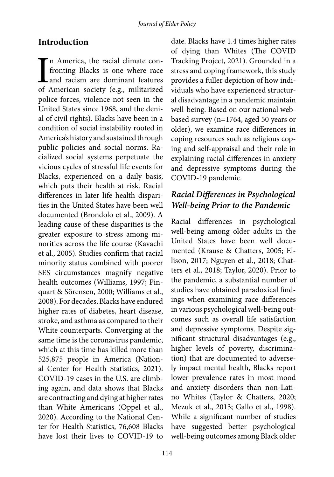### **Introduction**

In America, the racial climate con-<br>fronting Blacks is one where race<br>and racism are dominant features<br>of American society (e.g., militarized n America, the racial climate confronting Blacks is one where race and racism are dominant features police forces, violence not seen in the United States since 1968, and the denial of civil rights). Blacks have been in a condition of social instability rooted in America's history and sustained through public policies and social norms. Racialized social systems perpetuate the vicious cycles of stressful life events for Blacks, experienced on a daily basis, which puts their health at risk. Racial differences in later life health disparities in the United States have been well documented (Brondolo et al., 2009). A leading cause of these disparities is the greater exposure to stress among minorities across the life course (Kavachi et al., 2005). Studies confirm that racial minority status combined with poorer SES circumstances magnify negative health outcomes (Williams, 1997; Pinquart & Sörensen, 2000; Williams et al., 2008). For decades, Blacks have endured higher rates of diabetes, heart disease, stroke, and asthma as compared to their White counterparts. Converging at the same time is the coronavirus pandemic, which at this time has killed more than 525,875 people in America (National Center for Health Statistics, 2021). COVID-19 cases in the U.S. are climbing again, and data shows that Blacks are contracting and dying at higher rates than White Americans (Oppel et al., 2020). According to the National Center for Health Statistics, 76,608 Blacks have lost their lives to COVID-19 to

date. Blacks have 1.4 times higher rates of dying than Whites (The COVID Tracking Project, 2021). Grounded in a stress and coping framework, this study provides a fuller depiction of how individuals who have experienced structural disadvantage in a pandemic maintain well-being. Based on our national webbased survey (n=1764, aged 50 years or older), we examine race differences in coping resources such as religious coping and self-appraisal and their role in explaining racial differences in anxiety and depressive symptoms during the COVID-19 pandemic.

### *Racial Differences in Psychological Well-being Prior to the Pandemic*

Racial differences in psychological well-being among older adults in the United States have been well documented (Krause & Chatters, 2005; Ellison, 2017; Nguyen et al., 2018; Chatters et al., 2018; Taylor, 2020). Prior to the pandemic, a substantial number of studies have obtained paradoxical findings when examining race differences in various psychological well-being outcomes such as overall life satisfaction and depressive symptoms. Despite significant structural disadvantages (e.g., higher levels of poverty, discrimination) that are documented to adversely impact mental health, Blacks report lower prevalence rates in most mood and anxiety disorders than non-Latino Whites (Taylor & Chatters, 2020; Mezuk et al., 2013; Gallo et al., 1998). While a significant number of studies have suggested better psychological well-being outcomes among Black older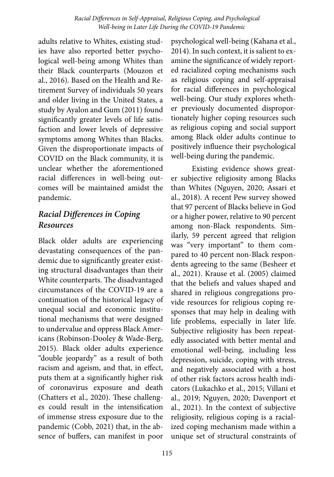adults relative to Whites, existing studies have also reported better psychological well-being among Whites than their Black counterparts (Mouzon et al., 2016). Based on the Health and Retirement Survey of individuals 50 years and older living in the United States, a study by Ayalon and Gum (2011) found significantly greater levels of life satisfaction and lower levels of depressive symptoms among Whites than Blacks. Given the disproportionate impacts of COVID on the Black community, it is unclear whether the aforementioned racial differences in well-being outcomes will be maintained amidst the pandemic.

# *Racial Differences in Coping Resources*

Black older adults are experiencing devastating consequences of the pandemic due to significantly greater existing structural disadvantages than their White counterparts. The disadvantaged circumstances of the COVID-19 are a continuation of the historical legacy of unequal social and economic institutional mechanisms that were designed to undervalue and oppress Black Americans (Robinson-Dooley & Wade-Berg, 2015). Black older adults experience "double jeopardy" as a result of both racism and ageism, and that, in effect, puts them at a significantly higher risk of coronavirus exposure and death (Chatters et al., 2020). These challenges could result in the intensification of immense stress exposure due to the pandemic (Cobb, 2021) that, in the absence of buffers, can manifest in poor

psychological well-being (Kahana et al., 2014). In such context, it is salient to examine the significance of widely reported racialized coping mechanisms such as religious coping and self-appraisal for racial differences in psychological well-being. Our study explores whether previously documented disproportionately higher coping resources such as religious coping and social support among Black older adults continue to positively influence their psychological well-being during the pandemic.

Existing evidence shows greater subjective religiosity among Blacks than Whites (Nguyen, 2020; Assari et al., 2018). A recent Pew survey showed that 97 percent of Blacks believe in God or a higher power, relative to 90 percent among non-Black respondents. Similarly, 59 percent agreed that religion was "very important" to them compared to 40 percent non-Black respondents agreeing to the same (Besheer et al., 2021). Krause et al. (2005) claimed that the beliefs and values shaped and shared in religious congregations provide resources for religious coping responses that may help in dealing with life problems, especially in later life. Subjective religiosity has been repeatedly associated with better mental and emotional well-being, including less depression, suicide, coping with stress, and negatively associated with a host of other risk factors across health indicators (Lukachko et al., 2015; Villani et al., 2019; Nguyen, 2020; Davenport et al., 2021). In the context of subjective religiosity, religious coping is a racialized coping mechanism made within a unique set of structural constraints of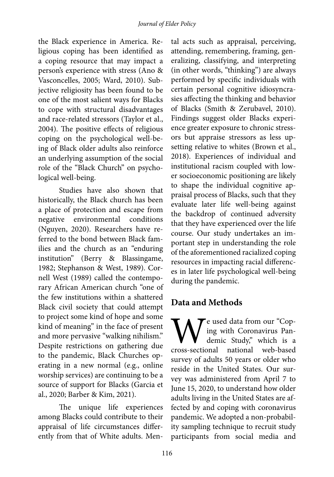the Black experience in America. Religious coping has been identified as a coping resource that may impact a person's experience with stress (Ano & Vasconcelles, 2005; Ward, 2010). Subjective religiosity has been found to be one of the most salient ways for Blacks to cope with structural disadvantages and race-related stressors (Taylor et al., 2004). The positive effects of religious coping on the psychological well-being of Black older adults also reinforce an underlying assumption of the social role of the "Black Church" on psychological well-being.

Studies have also shown that historically, the Black church has been a place of protection and escape from negative environmental conditions (Nguyen, 2020). Researchers have referred to the bond between Black families and the church as an "enduring institution" (Berry & Blassingame, 1982; Stephanson & West, 1989). Cornell West (1989) called the contemporary African American church "one of the few institutions within a shattered Black civil society that could attempt to project some kind of hope and some kind of meaning" in the face of present and more pervasive "walking nihilism." Despite restrictions on gathering due to the pandemic, Black Churches operating in a new normal (e.g., online worship services) are continuing to be a source of support for Blacks (Garcia et al., 2020; Barber & Kim, 2021).

The unique life experiences among Blacks could contribute to their appraisal of life circumstances differently from that of White adults. Men-

tal acts such as appraisal, perceiving, attending, remembering, framing, generalizing, classifying, and interpreting (in other words, "thinking") are always performed by specific individuals with certain personal cognitive idiosyncrasies affecting the thinking and behavior of Blacks (Smith & Zerubavel, 2010). Findings suggest older Blacks experience greater exposure to chronic stressors but appraise stressors as less upsetting relative to whites (Brown et al., 2018). Experiences of individual and institutional racism coupled with lower socioeconomic positioning are likely to shape the individual cognitive appraisal process of Blacks, such that they evaluate later life well-being against the backdrop of continued adversity that they have experienced over the life course. Our study undertakes an important step in understanding the role of the aforementioned racialized coping resources in impacting racial differences in later life psychological well-being during the pandemic.

# **Data and Methods**

We used data from our "Cop-<br>ing with Coronavirus Pan-<br>demic Study," which is a<br>cross-sectional national web-based ing with Coronavirus Pandemic Study," which is a national web-based survey of adults 50 years or older who reside in the United States. Our survey was administered from April 7 to June 15, 2020, to understand how older adults living in the United States are affected by and coping with coronavirus pandemic. We adopted a non-probability sampling technique to recruit study participants from social media and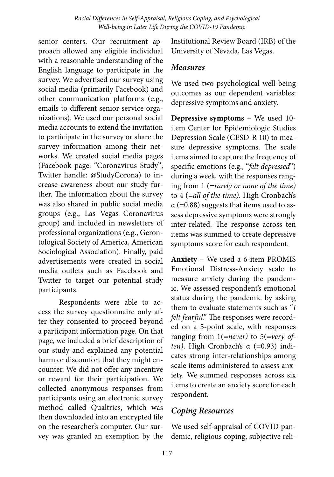senior centers. Our recruitment approach allowed any eligible individual with a reasonable understanding of the English language to participate in the survey. We advertised our survey using social media (primarily Facebook) and other communication platforms (e.g., emails to different senior service organizations). We used our personal social media accounts to extend the invitation to participate in the survey or share the survey information among their networks. We created social media pages (Facebook page: "Coronavirus Study"; Twitter handle: @StudyCorona) to increase awareness about our study further. The information about the survey was also shared in public social media groups (e.g., Las Vegas Coronavirus group) and included in newsletters of professional organizations (e.g., Gerontological Society of America, American Sociological Association). Finally, paid advertisements were created in social media outlets such as Facebook and Twitter to target our potential study participants.

Respondents were able to access the survey questionnaire only after they consented to proceed beyond a participant information page. On that page, we included a brief description of our study and explained any potential harm or discomfort that they might encounter. We did not offer any incentive or reward for their participation. We collected anonymous responses from participants using an electronic survey method called Qualtrics, which was then downloaded into an encrypted file on the researcher's computer. Our survey was granted an exemption by the

Institutional Review Board (IRB) of the University of Nevada, Las Vegas.

#### *Measures*

We used two psychological well-being outcomes as our dependent variables: depressive symptoms and anxiety.

**Depressive symptoms** – We used 10 item Center for Epidemiologic Studies Depression Scale (CESD-R 10) to measure depressive symptoms. The scale items aimed to capture the frequency of specific emotions (e.g., "*felt depressed*") during a week*,* with the responses ranging from 1 (=*rarely or none of the time)* to 4 (=*all of the time)*. High Cronbach's  $\alpha$  (=0.88) suggests that items used to assess depressive symptoms were strongly inter-related. The response across ten items was summed to create depressive symptoms score for each respondent.

**Anxiety** – We used a 6-item PROMIS Emotional Distress-Anxiety scale to measure anxiety during the pandemic. We assessed respondent's emotional status during the pandemic by asking them to evaluate statements such as "*I felt fearful*." The responses were recorded on a 5-point scale, with responses ranging from 1(=*never)* to 5(=*very often*). High Cronbach's α (=0.93) indicates strong inter-relationships among scale items administered to assess anxiety. We summed responses across six items to create an anxiety score for each respondent.

### *Coping Resources*

We used self-appraisal of COVID pandemic, religious coping, subjective reli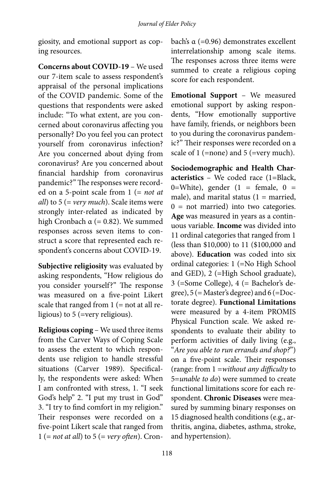giosity, and emotional support as coping resources.

**Concerns about COVID-19** – We used our 7-item scale to assess respondent's appraisal of the personal implications of the COVID pandemic. Some of the questions that respondents were asked include: "To what extent, are you concerned about coronavirus affecting you personally? Do you feel you can protect yourself from coronavirus infection? Are you concerned about dying from coronavirus? Are you concerned about financial hardship from coronavirus pandemic?" The responses were recorded on a 5-point scale from 1 (= *not at all*) to 5 (= *very much*). Scale items were strongly inter-related as indicated by high Cronbach  $\alpha$  (= 0.82). We summed responses across seven items to construct a score that represented each respondent's concerns about COVID-19.

**Subjective religiosity** was evaluated by asking respondents, "How religious do you consider yourself?" The response was measured on a five-point Likert scale that ranged from  $1$  (= not at all religious) to 5 (=very religious).

**Religious coping** – We used three items from the Carver Ways of Coping Scale to assess the extent to which respondents use religion to handle stressful situations (Carver 1989). Specifically, the respondents were asked: When I am confronted with stress, 1. "I seek God's help" 2. "I put my trust in God" 3. "I try to find comfort in my religion." Their responses were recorded on a five-point Likert scale that ranged from 1 (= *not at all*) to 5 (= *very often*). Cronbach's α (=0.96) demonstrates excellent interrelationship among scale items. The responses across three items were summed to create a religious coping score for each respondent.

**Emotional Support** – We measured emotional support by asking respondents, "How emotionally supportive have family, friends, or neighbors been to you during the coronavirus pandemic?" Their responses were recorded on a scale of 1 (=none) and 5 (=very much).

**Sociodemographic and Health Characteristics** – We coded race (1=Black, 0=White), gender  $(1 =$  female,  $0 =$ male), and marital status  $(1 =$  married,  $0 =$  not married) into two categories. **Age** was measured in years as a continuous variable. **Income** was divided into 11 ordinal categories that ranged from 1 (less than \$10,000) to 11 (\$100,000 and above). **Education** was coded into six ordinal categories: 1 (=No High School and GED), 2 (=High School graduate), 3 (=Some College), 4 (= Bachelor's degree),  $5$  (= Master's degree) and  $6$  (=Doctorate degree). **Functional Limitations** were measured by a 4-item PROMIS Physical Function scale. We asked respondents to evaluate their ability to perform activities of daily living (e.g., "*Are you able to run errands and shop?*") on a five-point scale. Their responses (range: from 1 =*without any difficulty* to 5=*unable to do*) were summed to create functional limitations score for each respondent. **Chronic Diseases** were measured by summing binary responses on 15 diagnosed health conditions (e.g., arthritis, angina, diabetes, asthma, stroke, and hypertension).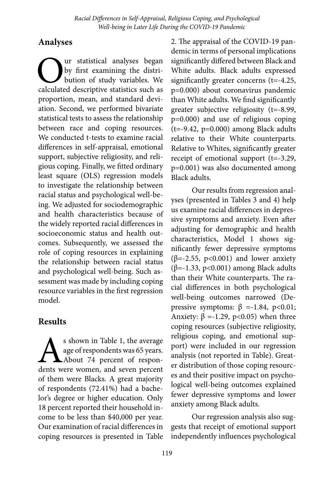# **Analyses**

Our statistical analyses began<br>by first examining the distri-<br>bution of study variables. We<br>calculated descriptive statistics such as by first examining the distribution of study variables. We proportion, mean, and standard deviation. Second, we performed bivariate statistical tests to assess the relationship between race and coping resources. We conducted t-tests to examine racial differences in self-appraisal, emotional support, subjective religiosity, and religious coping. Finally, we fitted ordinary least square (OLS) regression models to investigate the relationship between racial status and psychological well-being. We adjusted for sociodemographic and health characteristics because of the widely reported racial differences in socioeconomic status and health outcomes. Subsequently, we assessed the role of coping resources in explaining the relationship between racial status and psychological well-being. Such assessment was made by including coping resource variables in the first regression model.

# **Results**

Solown in Table 1, the average age of respondents was 65 years.<br>About 74 percent of respondents were women, and seven percent age of respondents was 65 years. About 74 percent of responof them were Blacks. A great majority of respondents (72.41%) had a bachelor's degree or higher education. Only 18 percent reported their household income to be less than \$40,000 per year. Our examination of racial differences in coping resources is presented in Table

2. The appraisal of the COVID-19 pandemic in terms of personal implications significantly differed between Black and White adults. Black adults expressed significantly greater concerns (t=-4.25, p=0.000) about coronavirus pandemic than White adults. We find significantly greater subjective religiosity (t=-8.99, p=0.000) and use of religious coping (t=-9.42, p=0.000) among Black adults relative to their White counterparts. Relative to Whites, significantly greater receipt of emotional support (t=-3.29, p=0.001) was also documented among Black adults.

Our results from regression analyses (presented in Tables 3 and 4) help us examine racial differences in depressive symptoms and anxiety. Even after adjusting for demographic and health characteristics, Model 1 shows significantly fewer depressive symptoms (β=-2.55, p<0.001) and lower anxiety (β=-1.33, p<0.001) among Black adults than their White counterparts. The racial differences in both psychological well-being outcomes narrowed (Depressive symptoms:  $β = -1.84$ ,  $p < 0.01$ ; Anxiety:  $β = -1.29$ ,  $p < 0.05$ ) when three coping resources (subjective religiosity, religious coping, and emotional support) were included in our regression analysis (not reported in Table). Greater distribution of those coping resources and their positive impact on psychological well-being outcomes explained fewer depressive symptoms and lower anxiety among Black adults.

Our regression analysis also suggests that receipt of emotional support independently influences psychological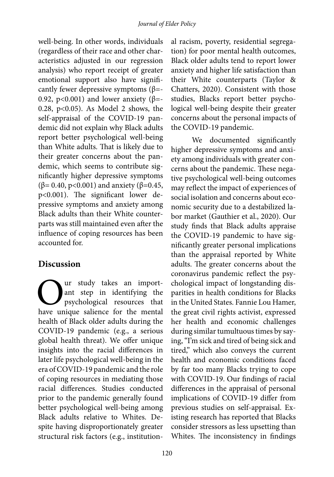well-being. In other words, individuals (regardless of their race and other characteristics adjusted in our regression analysis) who report receipt of greater emotional support also have significantly fewer depressive symptoms  $(\beta = -\frac{1}{2})$ 0.92, p<0.001) and lower anxiety (β=-0.28, p<0.05). As Model 2 shows, the self-appraisal of the COVID-19 pandemic did not explain why Black adults report better psychological well-being than White adults. That is likely due to their greater concerns about the pandemic, which seems to contribute significantly higher depressive symptoms (β= 0.40, p<0.001) and anxiety (β=0.45, p<0.001). The significant lower depressive symptoms and anxiety among Black adults than their White counterparts was still maintained even after the influence of coping resources has been accounted for.

### **Discussion**

Our study takes an import-<br>ant step in identifying the<br>psychological resources that<br>have unique salience for the mental ant step in identifying the psychological resources that have unique salience for the mental health of Black older adults during the COVID-19 pandemic (e.g., a serious global health threat). We offer unique insights into the racial differences in later life psychological well-being in the era of COVID-19 pandemic and the role of coping resources in mediating those racial differences. Studies conducted prior to the pandemic generally found better psychological well-being among Black adults relative to Whites. Despite having disproportionately greater structural risk factors (e.g., institutional racism, poverty, residential segregation) for poor mental health outcomes, Black older adults tend to report lower anxiety and higher life satisfaction than their White counterparts (Taylor & Chatters, 2020). Consistent with those studies, Blacks report better psychological well-being despite their greater concerns about the personal impacts of the COVID-19 pandemic.

We documented significantly higher depressive symptoms and anxiety among individuals with greater concerns about the pandemic. These negative psychological well-being outcomes may reflect the impact of experiences of social isolation and concerns about economic security due to a destabilized labor market (Gauthier et al., 2020). Our study finds that Black adults appraise the COVID-19 pandemic to have significantly greater personal implications than the appraisal reported by White adults. The greater concerns about the coronavirus pandemic reflect the psychological impact of longstanding disparities in health conditions for Blacks in the United States. Fannie Lou Hamer, the great civil rights activist, expressed her health and economic challenges during similar tumultuous times by saying, "I'm sick and tired of being sick and tired," which also conveys the current health and economic conditions faced by far too many Blacks trying to cope with COVID-19. Our findings of racial differences in the appraisal of personal implications of COVID-19 differ from previous studies on self-appraisal. Existing research has reported that Blacks consider stressors as less upsetting than Whites. The inconsistency in findings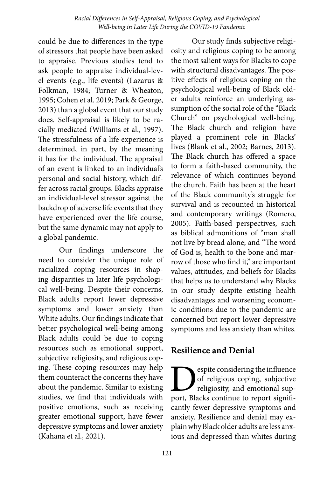could be due to differences in the type of stressors that people have been asked to appraise. Previous studies tend to ask people to appraise individual-level events (e.g., life events) (Lazarus & Folkman, 1984; Turner & Wheaton, 1995; Cohen et al. 2019; Park & George, 2013) than a global event that our study does. Self-appraisal is likely to be racially mediated (Williams et al., 1997). The stressfulness of a life experience is determined, in part, by the meaning it has for the individual. The appraisal of an event is linked to an individual's personal and social history, which differ across racial groups. Blacks appraise an individual-level stressor against the backdrop of adverse life events that they have experienced over the life course, but the same dynamic may not apply to a global pandemic.

Our findings underscore the need to consider the unique role of racialized coping resources in shaping disparities in later life psychological well-being. Despite their concerns, Black adults report fewer depressive symptoms and lower anxiety than White adults. Our findings indicate that better psychological well-being among Black adults could be due to coping resources such as emotional support, subjective religiosity, and religious coping. These coping resources may help them counteract the concerns they have about the pandemic. Similar to existing studies, we find that individuals with positive emotions, such as receiving greater emotional support, have fewer depressive symptoms and lower anxiety (Kahana et al., 2021).

Our study finds subjective religiosity and religious coping to be among the most salient ways for Blacks to cope with structural disadvantages. The positive effects of religious coping on the psychological well-being of Black older adults reinforce an underlying assumption of the social role of the "Black Church" on psychological well-being. The Black church and religion have played a prominent role in Blacks' lives (Blank et al., 2002; Barnes, 2013). The Black church has offered a space to form a faith-based community, the relevance of which continues beyond the church. Faith has been at the heart of the Black community's struggle for survival and is recounted in historical and contemporary writings (Romero, 2005). Faith-based perspectives, such as biblical admonitions of "man shall not live by bread alone; and "The word of God is, health to the bone and marrow of those who find it," are important values, attitudes, and beliefs for Blacks that helps us to understand why Blacks in our study despite existing health disadvantages and worsening economic conditions due to the pandemic are concerned but report lower depressive symptoms and less anxiety than whites.

### **Resilience and Denial**

espite considering the influence of religious coping, subjective religiosity, and emotional support, Blacks continue to report significantly fewer depressive symptoms and anxiety. Resilience and denial may explain why Black older adults are less anxious and depressed than whites during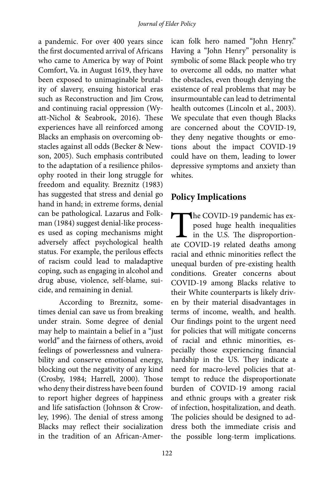a pandemic. For over 400 years since the first documented arrival of Africans who came to America by way of Point Comfort, Va. in August 1619, they have been exposed to unimaginable brutality of slavery, ensuing historical eras such as Reconstruction and Jim Crow, and continuing racial oppression (Wyatt-Nichol & Seabrook, 2016). These experiences have all reinforced among Blacks an emphasis on overcoming obstacles against all odds (Becker & Newson, 2005). Such emphasis contributed to the adaptation of a resilience philosophy rooted in their long struggle for freedom and equality. Breznitz (1983) has suggested that stress and denial go hand in hand; in extreme forms, denial can be pathological. Lazarus and Folkman (1984) suggest denial-like processes used as coping mechanisms might adversely affect psychological health status. For example, the perilous effects of racism could lead to maladaptive coping, such as engaging in alcohol and drug abuse, violence, self-blame, suicide, and remaining in denial.

According to Breznitz, sometimes denial can save us from breaking under strain. Some degree of denial may help to maintain a belief in a "just world" and the fairness of others, avoid feelings of powerlessness and vulnerability and conserve emotional energy, blocking out the negativity of any kind (Crosby, 1984; Harrell, 2000). Those who deny their distress have been found to report higher degrees of happiness and life satisfaction (Johnson & Crowley, 1996). The denial of stress among Blacks may reflect their socialization in the tradition of an African-Amer-

ican folk hero named "John Henry." Having a "John Henry" personality is symbolic of some Black people who try to overcome all odds, no matter what the obstacles, even though denying the existence of real problems that may be insurmountable can lead to detrimental health outcomes (Lincoln et al., 2003). We speculate that even though Blacks are concerned about the COVID-19, they deny negative thoughts or emotions about the impact COVID-19 could have on them, leading to lower depressive symptoms and anxiety than whites.

# **Policy Implications**

The COVID-19 pandemic has exposed huge health inequalities<br>in the U.S. The disproportion-<br>ate COVID-19 related deaths among posed huge health inequalities in the U.S. The disproportionate COVID-19 related deaths among racial and ethnic minorities reflect the unequal burden of pre-existing health conditions. Greater concerns about COVID-19 among Blacks relative to their White counterparts is likely driven by their material disadvantages in terms of income, wealth, and health. Our findings point to the urgent need for policies that will mitigate concerns of racial and ethnic minorities, especially those experiencing financial hardship in the US. They indicate a need for macro-level policies that attempt to reduce the disproportionate burden of COVID-19 among racial and ethnic groups with a greater risk of infection, hospitalization, and death. The policies should be designed to address both the immediate crisis and the possible long-term implications.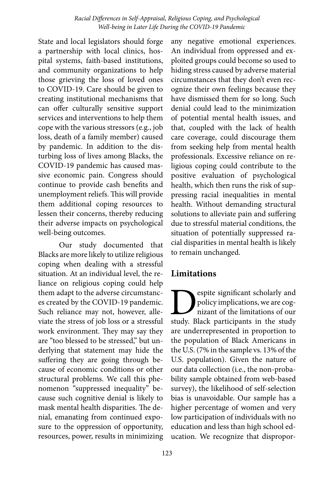State and local legislators should forge a partnership with local clinics, hospital systems, faith-based institutions, and community organizations to help those grieving the loss of loved ones to COVID-19. Care should be given to creating institutional mechanisms that can offer culturally sensitive support services and interventions to help them cope with the various stressors (e.g., job loss, death of a family member) caused by pandemic. In addition to the disturbing loss of lives among Blacks, the COVID-19 pandemic has caused massive economic pain. Congress should continue to provide cash benefits and unemployment reliefs. This will provide them additional coping resources to lessen their concerns, thereby reducing their adverse impacts on psychological well-being outcomes.

Our study documented that Blacks are more likely to utilize religious coping when dealing with a stressful situation. At an individual level, the reliance on religious coping could help them adapt to the adverse circumstances created by the COVID-19 pandemic. Such reliance may not, however, alleviate the stress of job loss or a stressful work environment. They may say they are "too blessed to be stressed," but underlying that statement may hide the suffering they are going through because of economic conditions or other structural problems. We call this phenomenon "suppressed inequality" because such cognitive denial is likely to mask mental health disparities. The denial, emanating from continued exposure to the oppression of opportunity, resources, power, results in minimizing

any negative emotional experiences. An individual from oppressed and exploited groups could become so used to hiding stress caused by adverse material circumstances that they don't even recognize their own feelings because they have dismissed them for so long. Such denial could lead to the minimization of potential mental health issues, and that, coupled with the lack of health care coverage, could discourage them from seeking help from mental health professionals. Excessive reliance on religious coping could contribute to the positive evaluation of psychological health, which then runs the risk of suppressing racial inequalities in mental health. Without demanding structural solutions to alleviate pain and suffering due to stressful material conditions, the situation of potentially suppressed racial disparities in mental health is likely to remain unchanged.

# **Limitations**

**Example Strain Scholarly and policy implications, we are cognizant of the limitations of our study.** Black participants in the study policy implications, we are cognizant of the limitations of our are underrepresented in proportion to the population of Black Americans in the U.S. (7% in the sample vs. 13% of the U.S. population). Given the nature of our data collection (i.e., the non-probability sample obtained from web-based survey), the likelihood of self-selection bias is unavoidable. Our sample has a higher percentage of women and very low participation of individuals with no education and less than high school education. We recognize that dispropor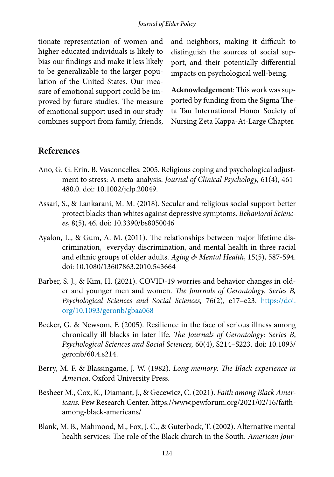tionate representation of women and higher educated individuals is likely to bias our findings and make it less likely to be generalizable to the larger population of the United States. Our measure of emotional support could be improved by future studies. The measure of emotional support used in our study combines support from family, friends, and neighbors, making it difficult to distinguish the sources of social support, and their potentially differential impacts on psychological well-being.

**Acknowledgement**: This work was supported by funding from the Sigma Theta Tau International Honor Society of Nursing Zeta Kappa-At-Large Chapter.

#### **References**

- Ano, G. G. Erin. B. Vasconcelles. 2005. Religious coping and psychological adjustment to stress: A meta-analysis. *Journal of Clinical Psychology,* 61(4), 461- 480.0. doi: 10.1002/jclp.20049.
- Assari, S., & Lankarani, M. M. (2018). Secular and religious social support better protect blacks than whites against depressive symptoms. *Behavioral Sciences*, 8(5), 46. doi: 10.3390/bs8050046
- Ayalon, L., & Gum, A. M. (2011). The relationships between major lifetime discrimination, everyday discrimination, and mental health in three racial and ethnic groups of older adults. *Aging & Mental Health*, 15(5), 587-594. doi: 10.1080/13607863.2010.543664
- Barber, S. J., & Kim, H. (2021). COVID-19 worries and behavior changes in older and younger men and women. *The Journals of Gerontology. Series B, Psychological Sciences and Social Sciences,* 76(2), e17–e23. [https://doi.](https://doi.org/10.1093/geronb/gbaa068) [org/10.1093/geronb/gbaa068](https://doi.org/10.1093/geronb/gbaa068)
- Becker, G. & Newsom, E (2005). Resilience in the face of serious illness among chronically ill blacks in later life. *The Journals of Gerontology: Series B*, *Psychological Sciences and Social Sciences,* 60(4), S214–S223. doi: 10.1093/ geronb/60.4.s214.
- Berry, M. F. & Blassingame, J. W. (1982). *Long memory: The Black experience in America*. Oxford University Press.
- Besheer M., Cox, K., Diamant, J., & Gecewicz, C. (2021). *Faith among Black Americans.* Pew Research Center. https://www.pewforum.org/2021/02/16/faithamong-black-americans/
- Blank, M. B., Mahmood, M., Fox, J. C., & Guterbock, T. (2002). Alternative mental health services: The role of the Black church in the South. *American Jour-*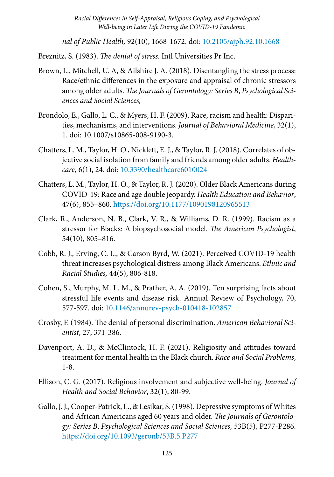*nal of Public Health,* 92(10), 1668-1672. doi: [10.2105/ajph.92.10.1668](https://dx.doi.org/10.2105%2Fajph.92.10.1668)

Breznitz, S. (1983). *The denial of stress*. Intl Universities Pr Inc.

- Brown, L., Mitchell, U. A, & Ailshire J. A. (2018). Disentangling the stress process: Race/ethnic differences in the exposure and appraisal of chronic stressors among older adults. *The Journals of Gerontology: Series B*, *Psychological Sciences and Social Sciences,*
- Brondolo, E., Gallo, L. C., & Myers, H. F. (2009). Race, racism and health: Disparities, mechanisms, and interventions. *Journal of Behavioral Medicine*, 32(1), 1. doi: 10.1007/s10865-008-9190-3.
- Chatters, L. M., Taylor, H. O., Nicklett, E. J., & Taylor, R. J. (2018). Correlates of objective social isolation from family and friends among older adults. *Healthcare,* 6(1), 24. doi: [10.3390/healthcare6010024](https://dx.doi.org/10.3390%2Fhealthcare6010024)
- Chatters, L. M., Taylor, H. O., & Taylor, R. J. (2020). Older Black Americans during COVID-19: Race and age double jeopardy. *Health Education and Behavior*, 47(6), 855–860. <https://doi.org/10.1177/1090198120965513>
- Clark, R., Anderson, N. B., Clark, V. R., & Williams, D. R. (1999). Racism as a stressor for Blacks: A biopsychosocial model. *The American Psychologist*, 54(10), 805–816.
- Cobb, R. J., Erving, C. L., & Carson Byrd, W. (2021). Perceived COVID-19 health threat increases psychological distress among Black Americans. *Ethnic and Racial Studies,* 44(5), 806-818.
- Cohen, S., Murphy, M. L. M., & Prather, A. A. (2019). Ten surprising facts about stressful life events and disease risk. Annual Review of Psychology, 70, 577-597. doi: [10.1146/annurev-psych-010418-102857](https://dx.doi.org/10.1146%2Fannurev-psych-010418-102857)
- Crosby, F. (1984). The denial of personal discrimination. *American Behavioral Scientist*, 27, 371-386.
- Davenport, A. D., & McClintock, H. F. (2021). Religiosity and attitudes toward treatment for mental health in the Black church. *Race and Social Problems*, 1-8.
- Ellison, C. G. (2017). Religious involvement and subjective well-being. *Journal of Health and Social Behavior*, 32(1), 80-99.
- Gallo, J. J., Cooper-Patrick, L., & Lesikar, S. (1998). Depressive symptoms of Whites and African Americans aged 60 years and older. *The Journals of Gerontology: Series B*, *Psychological Sciences and Social Sciences,* 53B(5), P277-P286. <https://doi.org/10.1093/geronb/53B.5.P277>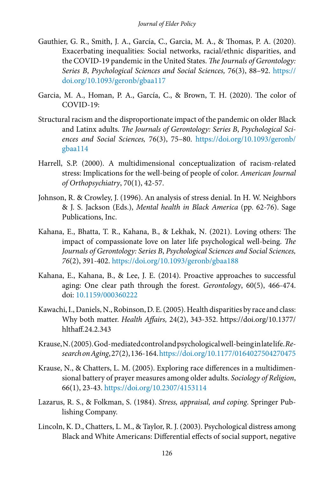- Gauthier, G. R., Smith, J. A., García, C., Garcia, M. A., & Thomas, P. A. (2020). Exacerbating inequalities: Social networks, racial/ethnic disparities, and the COVID-19 pandemic in the United States. *The Journals of Gerontology: Series B*, *Psychological Sciences and Social Sciences,* 76(3), 88–92. [https://](https://doi.org/10.1093/geronb/gbaa117) [doi.org/10.1093/geronb/gbaa117](https://doi.org/10.1093/geronb/gbaa117)
- Garcia, M. A., Homan, P. A., García, C., & Brown, T. H. (2020). The color of COVID-19:
- Structural racism and the disproportionate impact of the pandemic on older Black and Latinx adults. *The Journals of Gerontology: Series B*, *Psychological Sciences and Social Sciences,* 76(3), 75–80. [https://doi.org/10.1093/geronb/](https://doi.org/10.1093/geronb/gbaa114) [gbaa114](https://doi.org/10.1093/geronb/gbaa114)
- Harrell, S.P. (2000). A multidimensional conceptualization of racism-related stress: Implications for the well-being of people of color. *American Journal of Orthopsychiatry*, 70(1), 42-57.
- Johnson, R. & Crowley, J. (1996). An analysis of stress denial. In H. W. Neighbors & J. S. Jackson (Eds.), *Mental health in Black America* (pp. 62-76). Sage Publications, Inc.
- Kahana, E., Bhatta, T. R., Kahana, B., & Lekhak, N. (2021). Loving others: The impact of compassionate love on later life psychological well-being. *The Journals of Gerontology: Series B*, *Psychological Sciences and Social Sciences, 76*(2), 391-402. <https://doi.org/10.1093/geronb/gbaa188>
- Kahana, E., Kahana, B., & Lee, J. E. (2014). Proactive approaches to successful aging: One clear path through the forest. *Gerontology*, 60(5), 466-474. doi: [10.1159/000360222](https://dx.doi.org/10.1159%2F000360222)
- Kawachi, I., Daniels, N., Robinson, D. E. (2005). Health disparities by race and class: Why both matter. *Health Affairs,* 24(2), 343-352. https://doi.org/10.1377/ hlthaff.24.2.343
- Krause, N. (2005). God-mediated control and psychological well-being in late life. *Research on Aging*, 27(2), 136-164. [https://doi.org/10.1177/0164027504270475](https://doi.org/10.1177%2F0164027504270475)
- Krause, N., & Chatters, L. M. (2005). Exploring race differences in a multidimensional battery of prayer measures among older adults. *Sociology of Religion*, 66(1), 23-43.<https://doi.org/10.2307/4153114>
- Lazarus, R. S., & Folkman, S. (1984). *Stress, appraisal, and coping*. Springer Publishing Company.
- Lincoln, K. D., Chatters, L. M., & Taylor, R. J. (2003). Psychological distress among Black and White Americans: Differential effects of social support, negative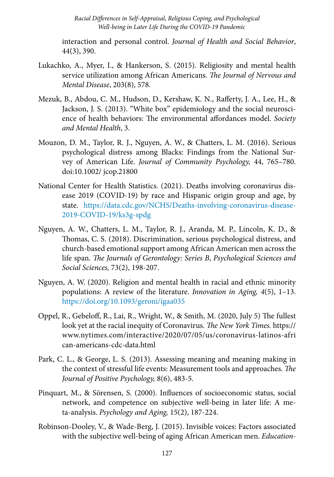interaction and personal control. *Journal of Health and Social Behavior*, 44(3), 390.

- Lukachko, A., Myer, I., & Hankerson, S. (2015). Religiosity and mental health service utilization among African Americans. *The Journal of Nervous and Mental Disease*, 203(8), 578.
- Mezuk, B., Abdou, C. M., Hudson, D., Kershaw, K. N., Rafferty, J. A., Lee, H., & Jackson, J. S. (2013). "White box" epidemiology and the social neuroscience of health behaviors: The environmental affordances model. *Society and Mental Health*, 3.
- Mouzon, D. M., Taylor, R. J., Nguyen, A. W., & Chatters, L. M. (2016). Serious psychological distress among Blacks: Findings from the National Survey of American Life. *Journal of Community Psychology,* 44, 765–780. doi:10.1002/ jcop.21800
- National Center for Health Statistics. (2021). Deaths involving coronavirus disease 2019 (COVID-19) by race and Hispanic origin group and age, by state. [https://data.cdc.gov/NCHS/Deaths-involving-coronavirus-disease-](https://data.cdc.gov/NCHS/Deaths-involving-coronavirus-disease-2019-COVID-19/ks3g-spdg)[2019-COVID-19/ks3g-spdg](https://data.cdc.gov/NCHS/Deaths-involving-coronavirus-disease-2019-COVID-19/ks3g-spdg)
- Nguyen, A. W., Chatters, L. M., Taylor, R. J., Aranda, M. P., Lincoln, K. D., & Thomas, C. S. (2018). Discrimination, serious psychological distress, and church-based emotional support among African American men across the life span. *The Journals of Gerontology: Series B*, *Psychological Sciences and Social Sciences,* 73(2), 198-207.
- Nguyen, A. W. (2020). Religion and mental health in racial and ethnic minority populations: A review of the literature. *Innovation in Aging, 4*(5), 1–13. <https://doi.org/10.1093/geroni/igaa035>
- Oppel, R., Gebeloff, R., Lai, R., Wright, W., & Smith, M. (2020, July 5) The fullest look yet at the racial inequity of Coronavirus*. The New York Times.* https:// www.nytimes.com/interactive/2020/07/05/us/coronavirus-latinos-afri can-americans-cdc-data.html
- Park, C. L., & George, L. S. (2013). Assessing meaning and meaning making in the context of stressful life events: Measurement tools and approaches. *The Journal of Positive Psychology,* 8(6), 483-5.
- Pinquart, M., & Sörensen, S. (2000). Influences of socioeconomic status, social network, and competence on subjective well-being in later life: A meta-analysis. *Psychology and Aging,* 15(2), 187-224.
- Robinson-Dooley, V., & Wade-Berg, J. (2015). Invisible voices: Factors associated with the subjective well-being of aging African American men. *Education-*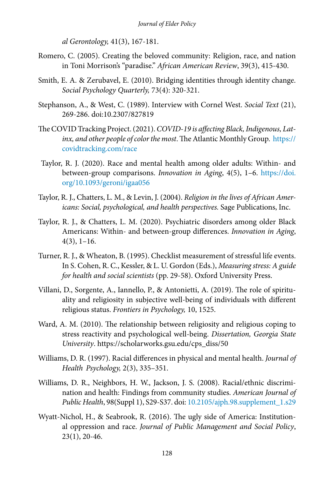*al Gerontology,* 41(3), 167-181.

- Romero, C. (2005). Creating the beloved community: Religion, race, and nation in Toni Morrison's "paradise." *African American Review*, 39(3), 415-430.
- Smith, E. A. & Zerubavel, E. (2010). Bridging identities through identity change. *Social Psychology Quarterly,* 73(4): 320-321.
- Stephanson, A., & West, C. (1989). Interview with Cornel West. *Social Text* (21), 269-286. doi:10.2307/827819
- The COVID Tracking Project. (2021). *COVID-19 is affecting Black, Indigenous, Latinx, and other people of color the most*. The Atlantic Monthly Group. [https://](https://covidtracking.com/race) [covidtracking.com/race](https://covidtracking.com/race)
- Taylor, R. J. (2020). Race and mental health among older adults: Within- and between-group comparisons. *Innovation in Aging*, 4(5), 1–6. [https://doi.](https://doi.org/10.1093/geroni/igaa056) [org/10.1093/geroni/igaa056](https://doi.org/10.1093/geroni/igaa056)
- Taylor, R. J., Chatters, L. M., & Levin, J. (2004). *Religion in the lives of African Americans: Social, psychological, and health perspectives.* Sage Publications, Inc.
- Taylor, R. J., & Chatters, L. M. (2020). Psychiatric disorders among older Black Americans: Within- and between-group differences. *Innovation in Aging*,  $4(3)$ , 1–16.
- Turner, R. J., & Wheaton, B. (1995). Checklist measurement of stressful life events. In S. Cohen, R. C., Kessler, & L. U. Gordon (Eds.), *Measuring stress: A guide for health and social scientists* (pp. 29-58). Oxford University Press.
- Villani, D., Sorgente, A., Iannello, P., & Antonietti, A. (2019). The role of spirituality and religiosity in subjective well-being of individuals with different religious status. *Frontiers in Psychology,* 10, 1525.
- Ward, A. M. (2010). The relationship between religiosity and religious coping to stress reactivity and psychological well-being. *Dissertation, Georgia State University*. https://scholarworks.gsu.edu/cps\_diss/50
- Williams, D. R. (1997). Racial differences in physical and mental health. *Journal of Health Psychology,* 2(3), 335–351.
- Williams, D. R., Neighbors, H. W., Jackson, J. S. (2008). Racial/ethnic discrimination and health: Findings from community studies. *American Journal of Public Health*, 98(Suppl 1), S29-S37. doi: [10.2105/ajph.98.supplement\\_1.s29](https://dx.doi.org/10.2105%2Fajph.98.supplement_1.s29)
- Wyatt-Nichol, H., & Seabrook, R. (2016). The ugly side of America: Institutional oppression and race. *Journal of Public Management and Social Policy*, 23(1), 20-46.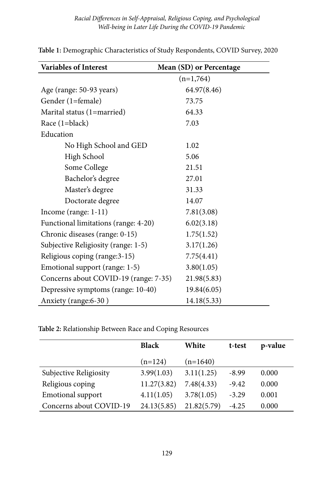| <b>Variables of Interest</b>          | Mean (SD) or Percentage |
|---------------------------------------|-------------------------|
|                                       | $(n=1,764)$             |
| Age (range: 50-93 years)              | 64.97(8.46)             |
| Gender (1=female)                     | 73.75                   |
| Marital status (1=married)            | 64.33                   |
| Race $(1 = black)$                    | 7.03                    |
| Education                             |                         |
| No High School and GED                | 1.02                    |
| High School                           | 5.06                    |
| Some College                          | 21.51                   |
| Bachelor's degree                     | 27.01                   |
| Master's degree                       | 31.33                   |
| Doctorate degree                      | 14.07                   |
| Income (range: $1-11$ )               | 7.81(3.08)              |
| Functional limitations (range: 4-20)  | 6.02(3.18)              |
| Chronic diseases (range: 0-15)        | 1.75(1.52)              |
| Subjective Religiosity (range: 1-5)   | 3.17(1.26)              |
| Religious coping (range: 3-15)        | 7.75(4.41)              |
| Emotional support (range: 1-5)        | 3.80(1.05)              |
| Concerns about COVID-19 (range: 7-35) | 21.98(5.83)             |
| Depressive symptoms (range: 10-40)    | 19.84(6.05)             |
| Anxiety (range: 6-30)                 | 14.18(5.33)             |

**Table 1:** Demographic Characteristics of Study Respondents, COVID Survey, 2020

**Table 2:** Relationship Between Race and Coping Resources

|                          | <b>Black</b> | White       | t-test  | p-value |
|--------------------------|--------------|-------------|---------|---------|
|                          | $(n=124)$    | $(n=1640)$  |         |         |
| Subjective Religiosity   | 3.99(1.03)   | 3.11(1.25)  | $-8.99$ | 0.000   |
| Religious coping         | 11.27(3.82)  | 7.48(4.33)  | $-9.42$ | 0.000   |
| <b>Emotional support</b> | 4.11(1.05)   | 3.78(1.05)  | $-3.29$ | 0.001   |
| Concerns about COVID-19  | 24.13(5.85)  | 21.82(5.79) | $-4.25$ | 0.000   |